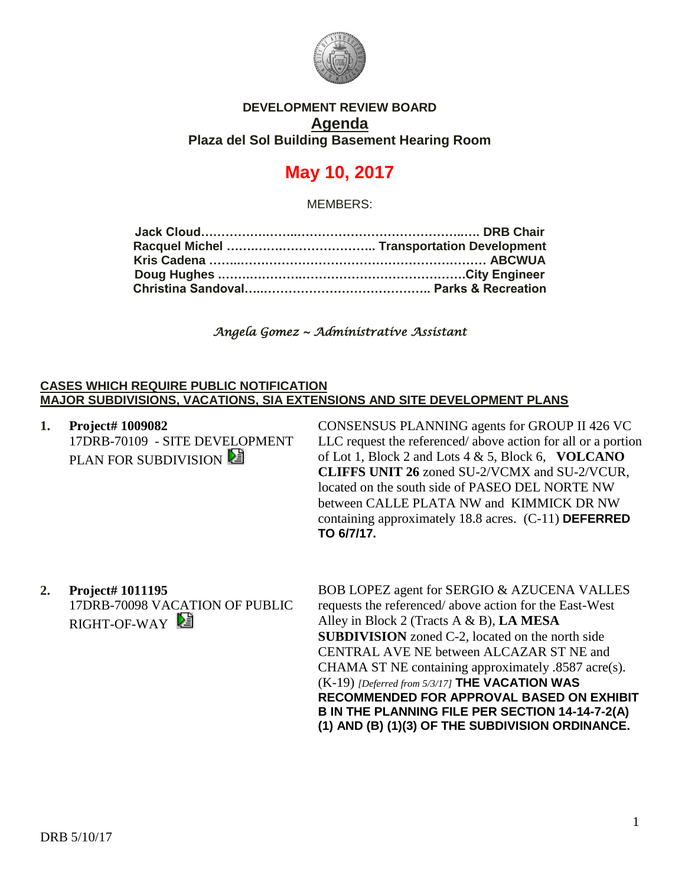

## **DEVELOPMENT REVIEW BOARD Agenda Plaza del Sol Building Basement Hearing Room**

# **May 10, 2017**

MEMBERS:

## *Angela Gomez ~ Administrative Assistant*

#### **CASES WHICH REQUIRE PUBLIC NOTIFICATION MAJOR SUBDIVISIONS, VACATIONS, SIA EXTENSIONS AND SITE DEVELOPMENT PLANS**

**1. Project# 1009082** 17DRB-70109 - SITE DEVELOPMENT PLAN FOR SUBDIVISION

CONSENSUS PLANNING agents for GROUP II 426 VC LLC request the referenced/ above action for all or a portion of Lot 1, Block 2 and Lots 4 & 5, Block 6, **VOLCANO CLIFFS UNIT 26** zoned SU-2/VCMX and SU-2/VCUR, located on the south side of PASEO DEL NORTE NW between CALLE PLATA NW and KIMMICK DR NW containing approximately 18.8 acres. (C-11) **DEFERRED TO 6/7/17.**

**2. Project# 1011195** 17DRB-70098 VACATION OF PUBLIC RIGHT-OF-WAY

BOB LOPEZ agent for SERGIO & AZUCENA VALLES requests the referenced/ above action for the East-West Alley in Block 2 (Tracts A & B), **LA MESA SUBDIVISION** zoned C-2, located on the north side CENTRAL AVE NE between ALCAZAR ST NE and CHAMA ST NE containing approximately .8587 acre(s). (K-19) *[Deferred from 5/3/17]* **THE VACATION WAS RECOMMENDED FOR APPROVAL BASED ON EXHIBIT B IN THE PLANNING FILE PER SECTION 14-14-7-2(A) (1) AND (B) (1)(3) OF THE SUBDIVISION ORDINANCE.**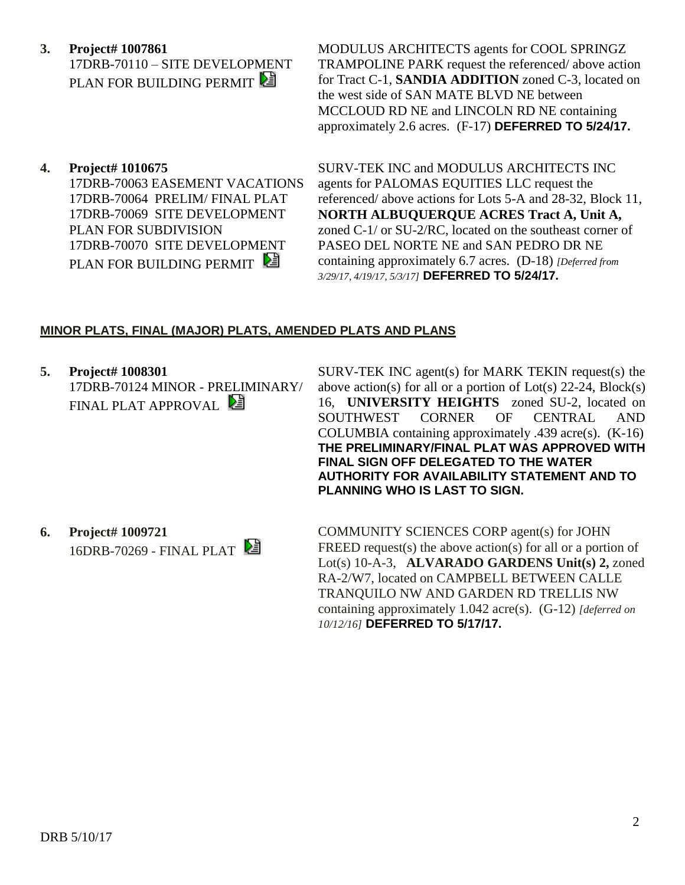- **3. Project# 1007861** 17DRB-70110 – SITE DEVELOPMENT PLAN FOR BUILDING PERMIT
- **4. Project# 1010675**

17DRB-70063 EASEMENT VACATIONS 17DRB-70064 PRELIM/ FINAL PLAT 17DRB-70069 SITE DEVELOPMENT PLAN FOR SUBDIVISION 17DRB-70070 SITE DEVELOPMENT PLAN FOR BUILDING PERMIT

MODULUS ARCHITECTS agents for COOL SPRINGZ TRAMPOLINE PARK request the referenced/ above action for Tract C-1, **SANDIA ADDITION** zoned C-3, located on the west side of SAN MATE BLVD NE between MCCLOUD RD NE and LINCOLN RD NE containing approximately 2.6 acres. (F-17) **DEFERRED TO 5/24/17.**

SURV-TEK INC and MODULUS ARCHITECTS INC agents for PALOMAS EQUITIES LLC request the referenced/ above actions for Lots 5-A and 28-32, Block 11, **NORTH ALBUQUERQUE ACRES Tract A, Unit A,** zoned C-1/ or SU-2/RC, located on the southeast corner of PASEO DEL NORTE NE and SAN PEDRO DR NE containing approximately 6.7 acres. (D-18) *[Deferred from 3/29/17, 4/19/17, 5/3/17]* **DEFERRED TO 5/24/17.**

#### **MINOR PLATS, FINAL (MAJOR) PLATS, AMENDED PLATS AND PLANS**

**5. Project# 1008301** 17DRB-70124 MINOR - PRELIMINARY/ FINAL PLAT APPROVAL

SURV-TEK INC agent(s) for MARK TEKIN request(s) the above action(s) for all or a portion of  $Lot(s)$  22-24,  $Block(s)$ 16, **UNIVERSITY HEIGHTS** zoned SU-2, located on SOUTHWEST CORNER OF CENTRAL AND COLUMBIA containing approximately .439 acre(s). (K-16) **THE PRELIMINARY/FINAL PLAT WAS APPROVED WITH FINAL SIGN OFF DELEGATED TO THE WATER AUTHORITY FOR AVAILABILITY STATEMENT AND TO PLANNING WHO IS LAST TO SIGN.**

**6. Project# 1009721** 16DRB-70269 - FINAL PLAT COMMUNITY SCIENCES CORP agent(s) for JOHN FREED request(s) the above action(s) for all or a portion of Lot(s) 10-A-3, **ALVARADO GARDENS Unit(s) 2,** zoned RA-2/W7, located on CAMPBELL BETWEEN CALLE TRANQUILO NW AND GARDEN RD TRELLIS NW containing approximately 1.042 acre(s). (G-12) *[deferred on 10/12/16]* **DEFERRED TO 5/17/17.**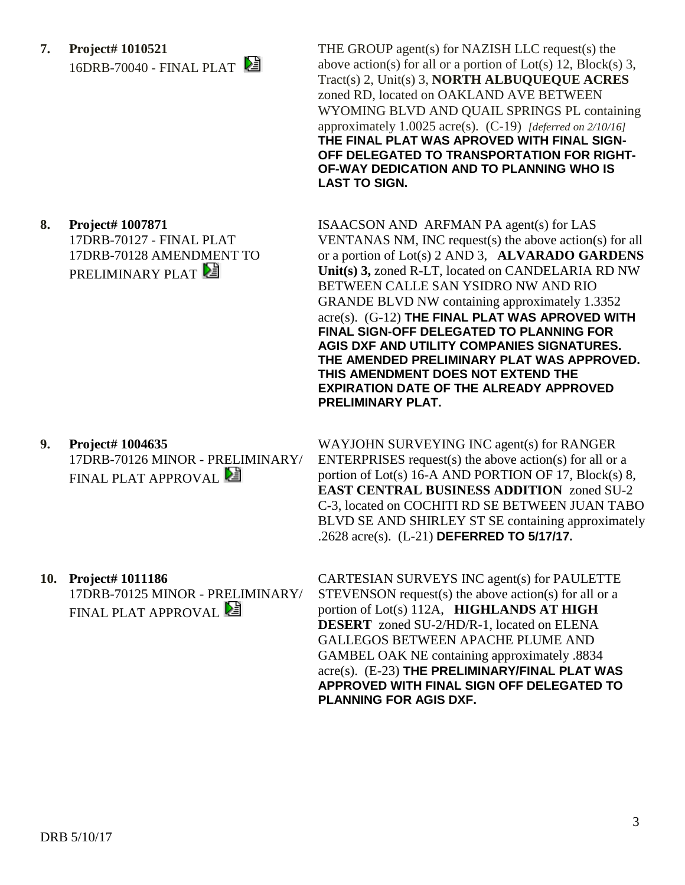**7. Project# 1010521** 16DRB-70040 - FINAL PLAT

**8. Project# 1007871** 17DRB-70127 - FINAL PLAT 17DRB-70128 AMENDMENT TO PRELIMINARY PLAT

- **9. Project# 1004635** 17DRB-70126 MINOR - PRELIMINARY/ FINAL PLAT APPROVAL
- **10. Project# 1011186** 17DRB-70125 MINOR - PRELIMINARY/ FINAL PLAT APPROVAL **E**

THE GROUP agent(s) for NAZISH LLC request(s) the above action(s) for all or a portion of Lot(s) 12, Block(s) 3, Tract(s) 2, Unit(s) 3, **NORTH ALBUQUEQUE ACRES** zoned RD, located on OAKLAND AVE BETWEEN WYOMING BLVD AND QUAIL SPRINGS PL containing approximately 1.0025 acre(s). (C-19) *[deferred on 2/10/16]* **THE FINAL PLAT WAS APROVED WITH FINAL SIGN-OFF DELEGATED TO TRANSPORTATION FOR RIGHT-OF-WAY DEDICATION AND TO PLANNING WHO IS LAST TO SIGN.**

ISAACSON AND ARFMAN PA agent(s) for LAS VENTANAS NM, INC request(s) the above action(s) for all or a portion of Lot(s) 2 AND 3, **ALVARADO GARDENS Unit(s) 3,** zoned R-LT, located on CANDELARIA RD NW BETWEEN CALLE SAN YSIDRO NW AND RIO GRANDE BLVD NW containing approximately 1.3352 acre(s). (G-12) **THE FINAL PLAT WAS APROVED WITH FINAL SIGN-OFF DELEGATED TO PLANNING FOR AGIS DXF AND UTILITY COMPANIES SIGNATURES. THE AMENDED PRELIMINARY PLAT WAS APPROVED. THIS AMENDMENT DOES NOT EXTEND THE EXPIRATION DATE OF THE ALREADY APPROVED PRELIMINARY PLAT.**

WAYJOHN SURVEYING INC agent(s) for RANGER ENTERPRISES request(s) the above action(s) for all or a portion of Lot(s) 16-A AND PORTION OF 17, Block(s) 8, **EAST CENTRAL BUSINESS ADDITION** zoned SU-2 C-3, located on COCHITI RD SE BETWEEN JUAN TABO BLVD SE AND SHIRLEY ST SE containing approximately .2628 acre(s). (L-21) **DEFERRED TO 5/17/17.**

CARTESIAN SURVEYS INC agent(s) for PAULETTE STEVENSON request(s) the above action(s) for all or a portion of Lot(s) 112A, **HIGHLANDS AT HIGH DESERT** zoned SU-2/HD/R-1, located on ELENA GALLEGOS BETWEEN APACHE PLUME AND GAMBEL OAK NE containing approximately .8834 acre(s). (E-23) **THE PRELIMINARY/FINAL PLAT WAS APPROVED WITH FINAL SIGN OFF DELEGATED TO PLANNING FOR AGIS DXF.**